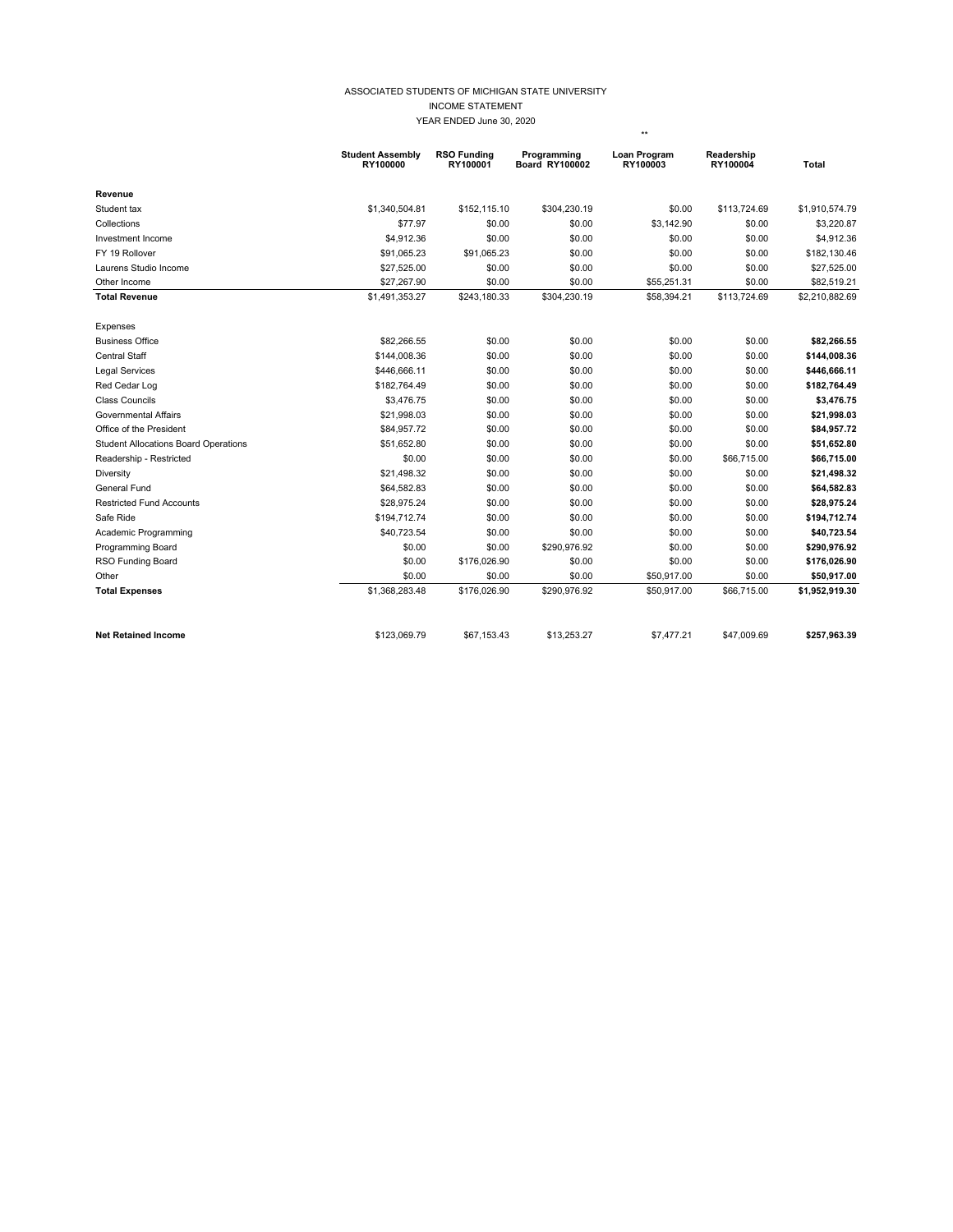## ASSOCIATED STUDENTS OF MICHIGAN STATE UNIVERSITY INCOME STATEMENT YEAR ENDED June 30, 2020

\*\*

|                                             | <b>Student Assembly</b><br>RY100000 | <b>RSO Funding</b><br>RY100001 | Programming<br><b>Board RY100002</b> | Loan Program<br>RY100003 | Readership<br>RY100004 | <b>Total</b>   |
|---------------------------------------------|-------------------------------------|--------------------------------|--------------------------------------|--------------------------|------------------------|----------------|
| Revenue                                     |                                     |                                |                                      |                          |                        |                |
| Student tax                                 | \$1,340,504.81                      | \$152,115.10                   | \$304,230.19                         | \$0.00                   | \$113,724.69           | \$1,910,574.79 |
| Collections                                 | \$77.97                             | \$0.00                         | \$0.00                               | \$3,142.90               | \$0.00                 | \$3,220.87     |
| Investment Income                           | \$4,912.36                          | \$0.00                         | \$0.00                               | \$0.00                   | \$0.00                 | \$4,912.36     |
| FY 19 Rollover                              | \$91,065.23                         | \$91,065.23                    | \$0.00                               | \$0.00                   | \$0.00                 | \$182,130.46   |
| Laurens Studio Income                       | \$27,525.00                         | \$0.00                         | \$0.00                               | \$0.00                   | \$0.00                 | \$27,525.00    |
| Other Income                                | \$27,267.90                         | \$0.00                         | \$0.00                               | \$55,251.31              | \$0.00                 | \$82,519.21    |
| <b>Total Revenue</b>                        | \$1,491,353.27                      | \$243,180.33                   | \$304,230.19                         | \$58,394.21              | \$113,724.69           | \$2,210,882.69 |
| Expenses                                    |                                     |                                |                                      |                          |                        |                |
| <b>Business Office</b>                      | \$82,266.55                         | \$0.00                         | \$0.00                               | \$0.00                   | \$0.00                 | \$82,266.55    |
| <b>Central Staff</b>                        | \$144,008.36                        | \$0.00                         | \$0.00                               | \$0.00                   | \$0.00                 | \$144,008.36   |
| <b>Legal Services</b>                       | \$446,666.11                        | \$0.00                         | \$0.00                               | \$0.00                   | \$0.00                 | \$446,666.11   |
| Red Cedar Log                               | \$182,764.49                        | \$0.00                         | \$0.00                               | \$0.00                   | \$0.00                 | \$182,764.49   |
| <b>Class Councils</b>                       | \$3,476.75                          | \$0.00                         | \$0.00                               | \$0.00                   | \$0.00                 | \$3,476.75     |
| <b>Governmental Affairs</b>                 | \$21,998.03                         | \$0.00                         | \$0.00                               | \$0.00                   | \$0.00                 | \$21,998.03    |
| Office of the President                     | \$84,957.72                         | \$0.00                         | \$0.00                               | \$0.00                   | \$0.00                 | \$84,957.72    |
| <b>Student Allocations Board Operations</b> | \$51,652.80                         | \$0.00                         | \$0.00                               | \$0.00                   | \$0.00                 | \$51,652.80    |
| Readership - Restricted                     | \$0.00                              | \$0.00                         | \$0.00                               | \$0.00                   | \$66,715.00            | \$66,715.00    |
| Diversity                                   | \$21,498.32                         | \$0.00                         | \$0.00                               | \$0.00                   | \$0.00                 | \$21,498.32    |
| General Fund                                | \$64,582.83                         | \$0.00                         | \$0.00                               | \$0.00                   | \$0.00                 | \$64,582.83    |
| <b>Restricted Fund Accounts</b>             | \$28.975.24                         | \$0.00                         | \$0.00                               | \$0.00                   | \$0.00                 | \$28,975.24    |
| Safe Ride                                   | \$194,712.74                        | \$0.00                         | \$0.00                               | \$0.00                   | \$0.00                 | \$194,712.74   |
| Academic Programming                        | \$40,723.54                         | \$0.00                         | \$0.00                               | \$0.00                   | \$0.00                 | \$40,723.54    |
| Programming Board                           | \$0.00                              | \$0.00                         | \$290,976.92                         | \$0.00                   | \$0.00                 | \$290,976.92   |
| RSO Funding Board                           | \$0.00                              | \$176,026.90                   | \$0.00                               | \$0.00                   | \$0.00                 | \$176,026.90   |
| Other                                       | \$0.00                              | \$0.00                         | \$0.00                               | \$50,917.00              | \$0.00                 | \$50,917.00    |
| <b>Total Expenses</b>                       | \$1,368,283.48                      | \$176,026.90                   | \$290,976.92                         | \$50,917.00              | \$66,715.00            | \$1,952,919.30 |
| <b>Net Retained Income</b>                  | \$123,069.79                        | \$67,153.43                    | \$13,253.27                          | \$7,477.21               | \$47,009.69            | \$257,963.39   |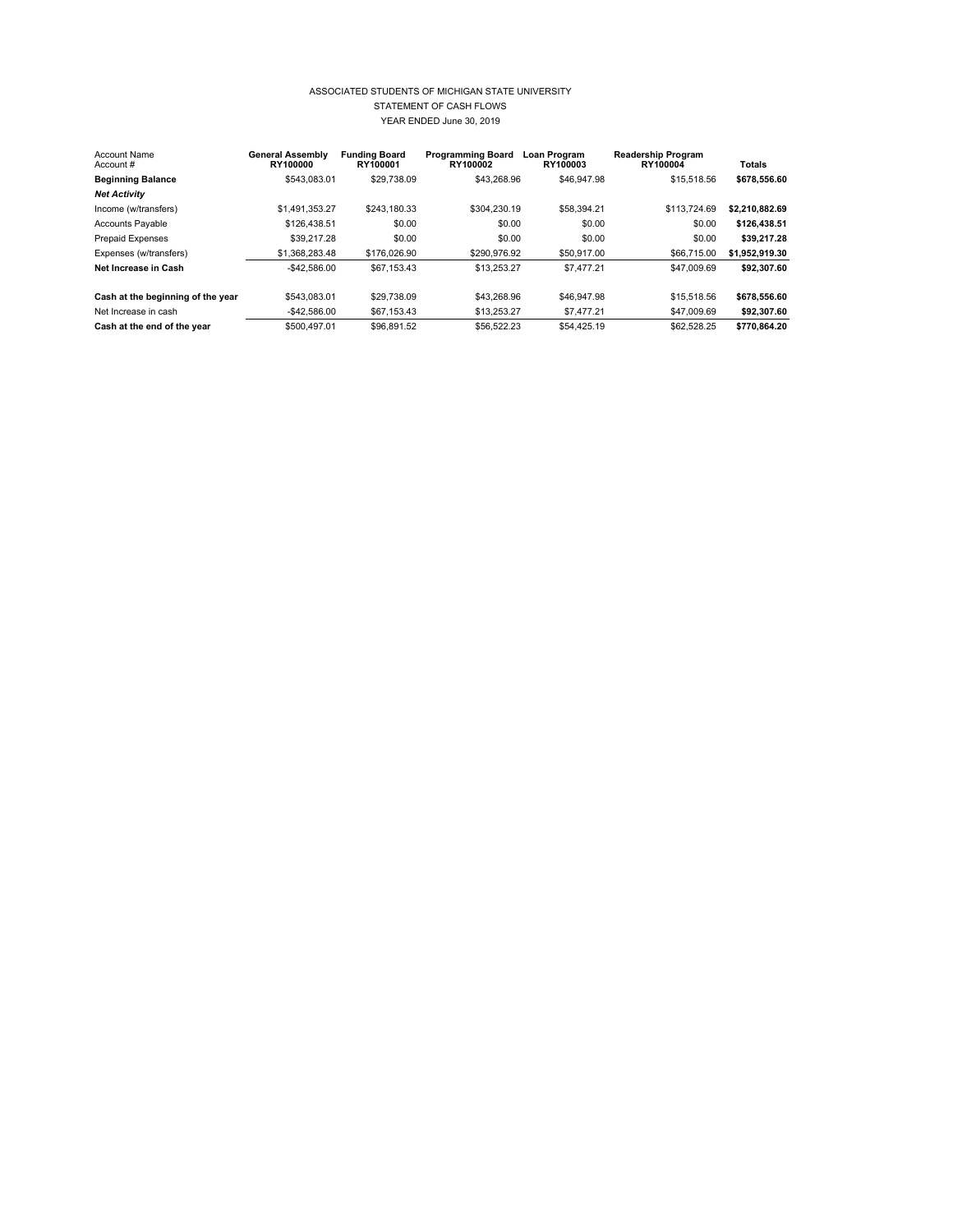## ASSOCIATED STUDENTS OF MICHIGAN STATE UNIVERSITY STATEMENT OF CASH FLOWS YEAR ENDED June 30, 2019

| <b>Account Name</b><br>Account#   | <b>General Assembly</b><br>RY100000 | <b>Funding Board</b><br>RY100001 | <b>Programming Board</b><br>RY100002 | Loan Program<br>RY100003 | <b>Readership Program</b><br>RY100004 | <b>Totals</b>  |
|-----------------------------------|-------------------------------------|----------------------------------|--------------------------------------|--------------------------|---------------------------------------|----------------|
| <b>Beginning Balance</b>          | \$543.083.01                        | \$29.738.09                      | \$43,268.96                          | \$46,947.98              | \$15,518.56                           | \$678,556.60   |
| <b>Net Activity</b>               |                                     |                                  |                                      |                          |                                       |                |
| Income (w/transfers)              | \$1.491.353.27                      | \$243,180.33                     | \$304.230.19                         | \$58,394.21              | \$113,724.69                          | \$2,210,882.69 |
| <b>Accounts Payable</b>           | \$126,438.51                        | \$0.00                           | \$0.00                               | \$0.00                   | \$0.00                                | \$126,438.51   |
| <b>Prepaid Expenses</b>           | \$39,217.28                         | \$0.00                           | \$0.00                               | \$0.00                   | \$0.00                                | \$39,217.28    |
| Expenses (w/transfers)            | \$1,368,283,48                      | \$176,026.90                     | \$290,976.92                         | \$50,917.00              | \$66,715.00                           | \$1.952.919.30 |
| Net Increase in Cash              | $-$42.586.00$                       | \$67.153.43                      | \$13.253.27                          | \$7,477.21               | \$47,009.69                           | \$92.307.60    |
| Cash at the beginning of the year | \$543.083.01                        | \$29,738.09                      | \$43,268.96                          | \$46,947.98              | \$15,518.56                           | \$678,556.60   |
| Net Increase in cash              | $-$42.586.00$                       | \$67.153.43                      | \$13.253.27                          | \$7,477.21               | \$47,009.69                           | \$92.307.60    |
| Cash at the end of the year       | \$500.497.01                        | \$96.891.52                      | \$56.522.23                          | \$54,425.19              | \$62.528.25                           | \$770.864.20   |